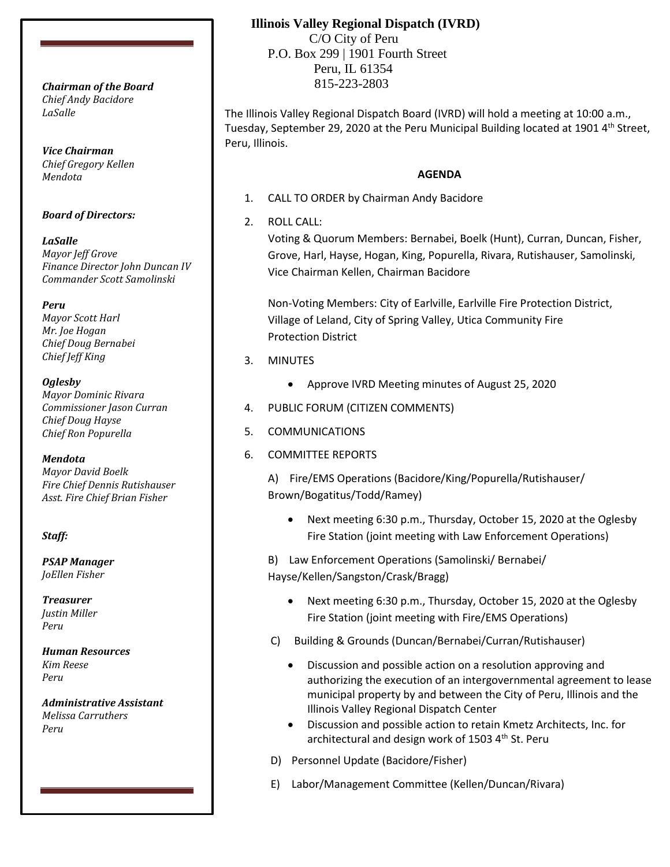*Chief Andy Bacidore LaSalle*

*Vice Chairman Chief Gregory Kellen Mendota*

#### *Board of Directors:*

*LaSalle Mayor Jeff Grove Finance Director John Duncan IV Commander Scott Samolinski*

*Peru Mayor Scott Harl*

*Mr. Joe Hogan Chief Doug Bernabei Chief Jeff King*

*Oglesby*

*Mayor Dominic Rivara Commissioner Jason Curran Chief Doug Hayse Chief Ron Popurella*

*Mendota Mayor David Boelk Fire Chief Dennis Rutishauser*

*Asst. Fire Chief Brian Fisher*

## *Staff:*

*PSAP Manager JoEllen Fisher*

*Treasurer Justin Miller Peru*

*Human Resources Kim Reese Peru*

*Administrative Assistant Melissa Carruthers Peru*

# **Illinois Valley Regional Dispatch (IVRD)**

 C/O City of Peru P.O. Box 299 | 1901 Fourth Street Peru, IL 61354 815-223-2803 *Chairman of the Board*

> The Illinois Valley Regional Dispatch Board (IVRD) will hold a meeting at 10:00 a.m., Tuesday, September 29, 2020 at the Peru Municipal Building located at 1901 4<sup>th</sup> Street, Peru, Illinois.

# **AGENDA**

- 1. CALL TO ORDER by Chairman Andy Bacidore
- 2. ROLL CALL:

Voting & Quorum Members: Bernabei, Boelk (Hunt), Curran, Duncan, Fisher, Grove, Harl, Hayse, Hogan, King, Popurella, Rivara, Rutishauser, Samolinski, Vice Chairman Kellen, Chairman Bacidore

Non-Voting Members: City of Earlville, Earlville Fire Protection District, Village of Leland, City of Spring Valley, Utica Community Fire Protection District

- 3. MINUTES
	- Approve IVRD Meeting minutes of August 25, 2020
- 4. PUBLIC FORUM (CITIZEN COMMENTS)
- 5. COMMUNICATIONS
- 6. COMMITTEE REPORTS

A) Fire/EMS Operations (Bacidore/King/Popurella/Rutishauser/ Brown/Bogatitus/Todd/Ramey)

• Next meeting 6:30 p.m., Thursday, October 15, 2020 at the Oglesby Fire Station (joint meeting with Law Enforcement Operations)

B) Law Enforcement Operations (Samolinski/ Bernabei/ Hayse/Kellen/Sangston/Crask/Bragg)

- Next meeting 6:30 p.m., Thursday, October 15, 2020 at the Oglesby Fire Station (joint meeting with Fire/EMS Operations)
- C) Building & Grounds (Duncan/Bernabei/Curran/Rutishauser)
	- Discussion and possible action on a resolution approving and authorizing the execution of an intergovernmental agreement to lease municipal property by and between the City of Peru, Illinois and the Illinois Valley Regional Dispatch Center
	- Discussion and possible action to retain Kmetz Architects, Inc. for architectural and design work of 1503 4<sup>th</sup> St. Peru
- D) Personnel Update (Bacidore/Fisher)
- E) Labor/Management Committee (Kellen/Duncan/Rivara)